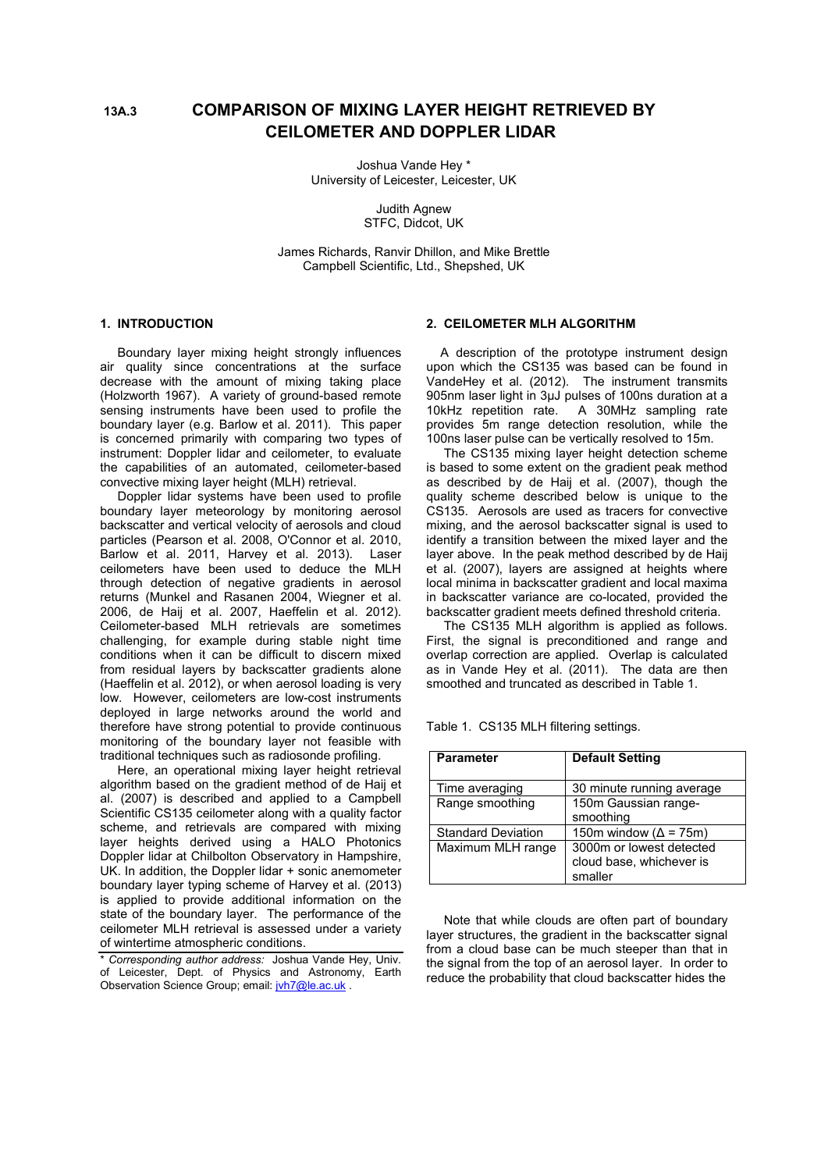# **13A.3 COMPARISON OF MIXING LAYER HEIGHT RETRIEVED BY CEILOMETER AND DOPPLER LIDAR**

Joshua Vande Hey \* University of Leicester, Leicester, UK

> Judith Agnew STFC, Didcot, UK

James Richards, Ranvir Dhillon, and Mike Brettle Campbell Scientific, Ltd., Shepshed, UK

## **1. INTRODUCTION**

 Boundary layer mixing height strongly influences air quality since concentrations at the surface decrease with the amount of mixing taking place (Holzworth 1967). A variety of ground-based remote sensing instruments have been used to profile the boundary layer (e.g. Barlow et al. 2011). This paper is concerned primarily with comparing two types of instrument: Doppler lidar and ceilometer, to evaluate the capabilities of an automated, ceilometer-based convective mixing layer height (MLH) retrieval.

 Doppler lidar systems have been used to profile boundary layer meteorology by monitoring aerosol backscatter and vertical velocity of aerosols and cloud particles (Pearson et al. 2008, O'Connor et al. 2010, Barlow et al. 2011, Harvey et al. 2013). Laser ceilometers have been used to deduce the MLH through detection of negative gradients in aerosol returns (Munkel and Rasanen 2004, Wiegner et al. 2006, de Haij et al. 2007, Haeffelin et al. 2012). Ceilometer-based MLH retrievals are sometimes challenging, for example during stable night time conditions when it can be difficult to discern mixed from residual layers by backscatter gradients alone (Haeffelin et al. 2012), or when aerosol loading is very low. However, ceilometers are low-cost instruments deployed in large networks around the world and therefore have strong potential to provide continuous monitoring of the boundary layer not feasible with traditional techniques such as radiosonde profiling.

 Here, an operational mixing layer height retrieval algorithm based on the gradient method of de Haij et al. (2007) is described and applied to a Campbell Scientific CS135 ceilometer along with a quality factor scheme, and retrievals are compared with mixing layer heights derived using a HALO Photonics Doppler lidar at Chilbolton Observatory in Hampshire, UK. In addition, the Doppler lidar + sonic anemometer boundary layer typing scheme of Harvey et al. (2013) is applied to provide additional information on the state of the boundary layer. The performance of the ceilometer MLH retrieval is assessed under a variety of wintertime atmospheric conditions.

#### **2. CEILOMETER MLH ALGORITHM**

 A description of the prototype instrument design upon which the CS135 was based can be found in VandeHey et al. (2012). The instrument transmits 905nm laser light in 3µJ pulses of 100ns duration at a 10kHz repetition rate. A 30MHz sampling rate provides 5m range detection resolution, while the 100ns laser pulse can be vertically resolved to 15m.

 The CS135 mixing layer height detection scheme is based to some extent on the gradient peak method as described by de Haij et al. (2007), though the quality scheme described below is unique to the CS135. Aerosols are used as tracers for convective mixing, and the aerosol backscatter signal is used to identify a transition between the mixed layer and the layer above. In the peak method described by de Haij et al. (2007), layers are assigned at heights where local minima in backscatter gradient and local maxima in backscatter variance are co-located, provided the backscatter gradient meets defined threshold criteria.

 The CS135 MLH algorithm is applied as follows. First, the signal is preconditioned and range and overlap correction are applied. Overlap is calculated as in Vande Hey et al. (2011). The data are then smoothed and truncated as described in Table 1.

Table 1. CS135 MLH filtering settings.

| <b>Parameter</b>          | <b>Default Setting</b>                                          |
|---------------------------|-----------------------------------------------------------------|
| Time averaging            | 30 minute running average                                       |
| Range smoothing           | 150m Gaussian range-<br>smoothing                               |
| <b>Standard Deviation</b> | 150m window ( $\Delta$ = 75m)                                   |
| Maximum MLH range         | 3000m or lowest detected<br>cloud base, whichever is<br>smaller |

 Note that while clouds are often part of boundary layer structures, the gradient in the backscatter signal from a cloud base can be much steeper than that in the signal from the top of an aerosol layer. In order to reduce the probability that cloud backscatter hides the

<sup>\*</sup> *Corresponding author address:* Joshua Vande Hey, Univ. of Leicester, Dept. of Physics and Astronomy, Earth Observation Science Group; email: jvh7@le.ac.uk .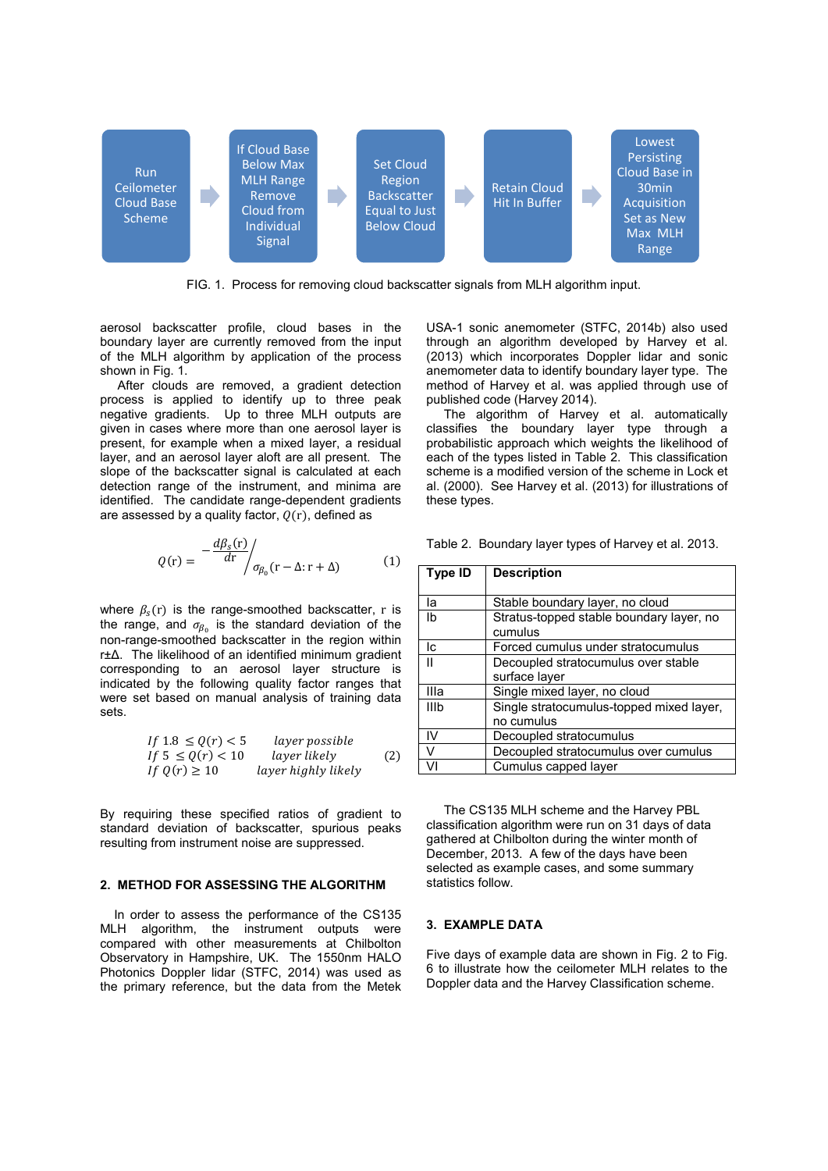

FIG. 1. Process for removing cloud backscatter signals from MLH algorithm input.

aerosol backscatter profile, cloud bases in the boundary layer are currently removed from the input of the MLH algorithm by application of the process shown in Fig. 1.

 After clouds are removed, a gradient detection process is applied to identify up to three peak negative gradients. Up to three MLH outputs are given in cases where more than one aerosol layer is present, for example when a mixed layer, a residual layer, and an aerosol layer aloft are all present. The slope of the backscatter signal is calculated at each detection range of the instrument, and minima are identified. The candidate range-dependent gradients are assessed by a quality factor,  $O(r)$ , defined as

$$
Q(r) = -\frac{d\beta_s(r)}{dr} / \sigma_{\beta_0}(r - \Delta; r + \Delta)
$$
 (1)

where  $\beta_s(r)$  is the range-smoothed backscatter, r is the range, and  $\sigma_{\beta_0}$  is the standard deviation of the non-range-smoothed backscatter in the region within r±∆. The likelihood of an identified minimum gradient corresponding to an aerosol layer structure is indicated by the following quality factor ranges that were set based on manual analysis of training data sets.

If 
$$
1.8 \le Q(r) < 5
$$
 layer possible  
\nIf  $5 \le Q(r) < 10$  layer likely (2)  
\nIf  $Q(r) \ge 10$  layer highly likely

By requiring these specified ratios of gradient to standard deviation of backscatter, spurious peaks resulting from instrument noise are suppressed.

#### **2. METHOD FOR ASSESSING THE ALGORITHM**

 In order to assess the performance of the CS135 MLH algorithm, the instrument outputs were compared with other measurements at Chilbolton Observatory in Hampshire, UK. The 1550nm HALO Photonics Doppler lidar (STFC, 2014) was used as the primary reference, but the data from the Metek

USA-1 sonic anemometer (STFC, 2014b) also used through an algorithm developed by Harvey et al. (2013) which incorporates Doppler lidar and sonic anemometer data to identify boundary layer type. The method of Harvey et al. was applied through use of published code (Harvey 2014).

 The algorithm of Harvey et al. automatically classifies the boundary layer type through a probabilistic approach which weights the likelihood of each of the types listed in Table 2. This classification scheme is a modified version of the scheme in Lock et al. (2000). See Harvey et al. (2013) for illustrations of these types.

|  |  |  | Table 2. Boundary layer types of Harvey et al. 2013. |  |
|--|--|--|------------------------------------------------------|--|
|--|--|--|------------------------------------------------------|--|

| Type ID | <b>Description</b>                       |
|---------|------------------------------------------|
|         |                                          |
| la      | Stable boundary layer, no cloud          |
| Ib      | Stratus-topped stable boundary layer, no |
|         | cumulus                                  |
| lc.     | Forced cumulus under stratocumulus       |
| Ш       | Decoupled stratocumulus over stable      |
|         | surface layer                            |
| Illa    | Single mixed layer, no cloud             |
| Illb    | Single stratocumulus-topped mixed layer, |
|         | no cumulus                               |
| IV      | Decoupled stratocumulus                  |
|         | Decoupled stratocumulus over cumulus     |
|         | Cumulus capped layer                     |

 The CS135 MLH scheme and the Harvey PBL classification algorithm were run on 31 days of data gathered at Chilbolton during the winter month of December, 2013. A few of the days have been selected as example cases, and some summary statistics follow.

## **3. EXAMPLE DATA**

Five days of example data are shown in Fig. 2 to Fig. 6 to illustrate how the ceilometer MLH relates to the Doppler data and the Harvey Classification scheme.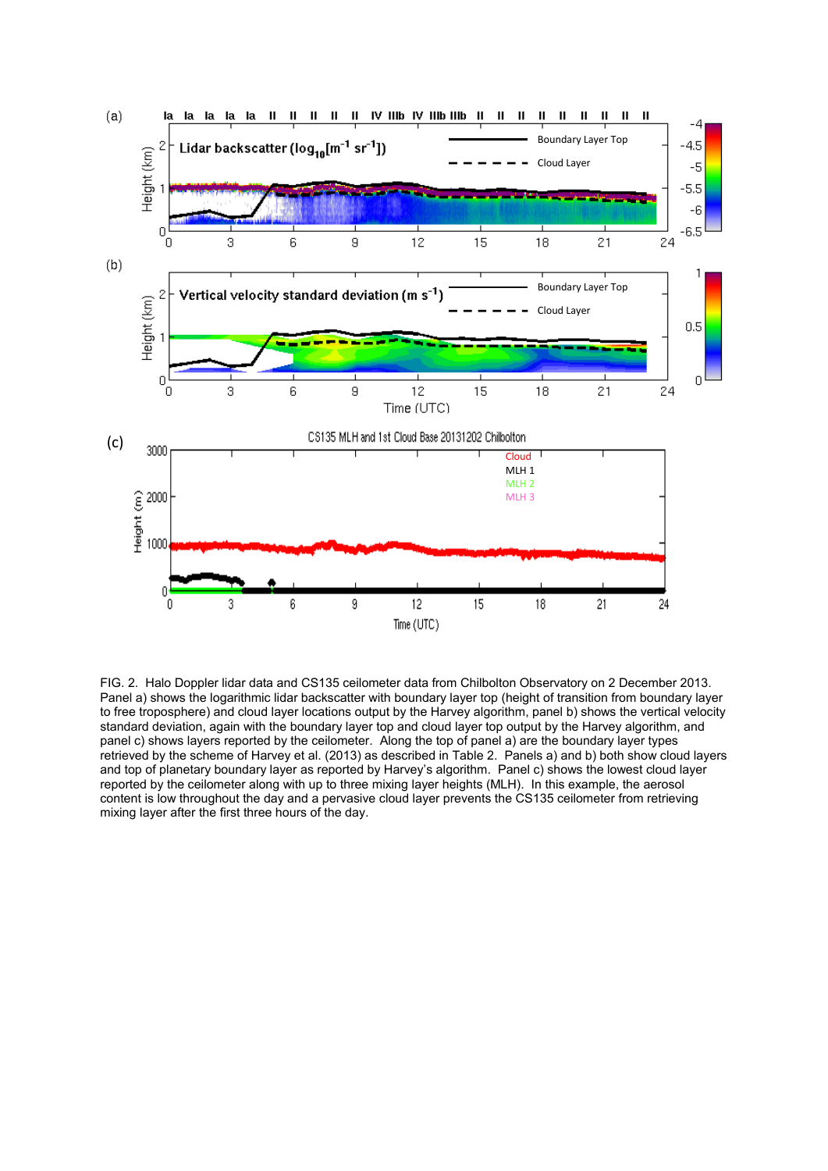

FIG. 2. Halo Doppler lidar data and CS135 ceilometer data from Chilbolton Observatory on 2 December 2013. Panel a) shows the logarithmic lidar backscatter with boundary layer top (height of transition from boundary layer to free troposphere) and cloud layer locations output by the Harvey algorithm, panel b) shows the vertical velocity standard deviation, again with the boundary layer top and cloud layer top output by the Harvey algorithm, and panel c) shows layers reported by the ceilometer. Along the top of panel a) are the boundary layer types retrieved by the scheme of Harvey et al. (2013) as described in Table 2. Panels a) and b) both show cloud layers and top of planetary boundary layer as reported by Harvey's algorithm. Panel c) shows the lowest cloud layer reported by the ceilometer along with up to three mixing layer heights (MLH). In this example, the aerosol content is low throughout the day and a pervasive cloud layer prevents the CS135 ceilometer from retrieving mixing layer after the first three hours of the day.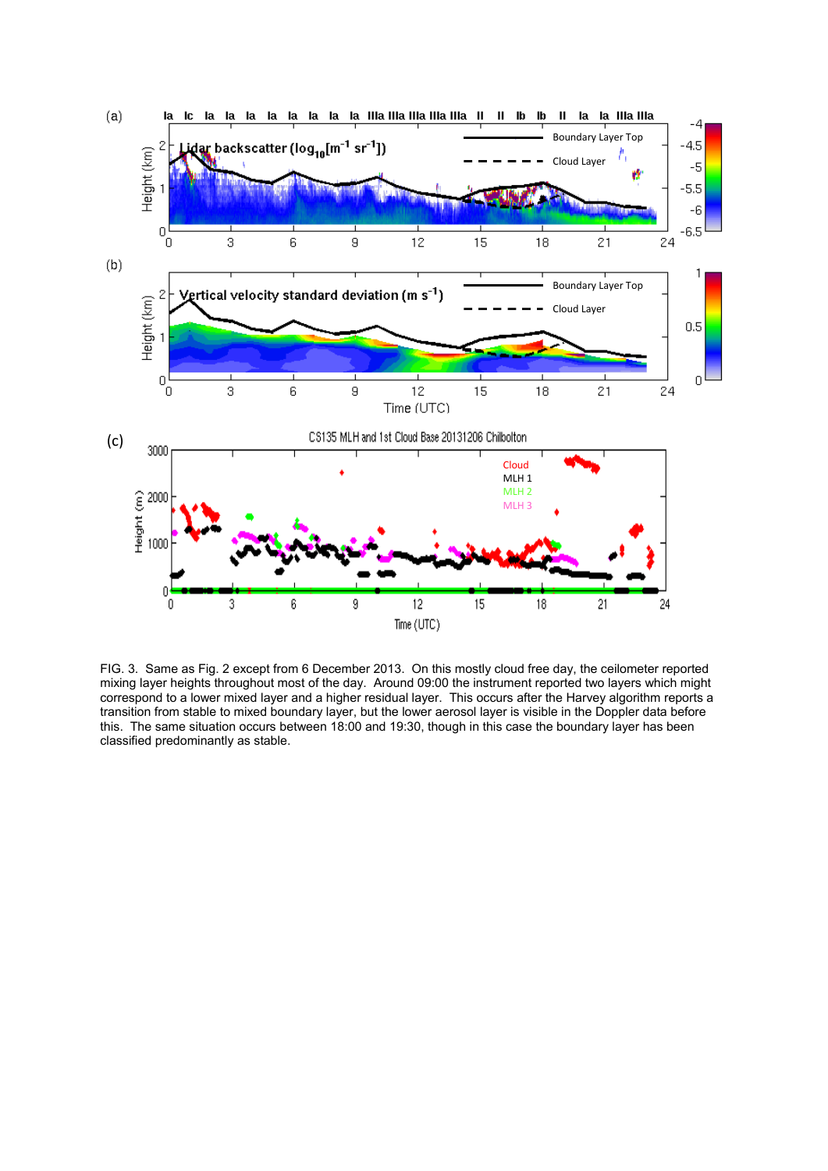

FIG. 3. Same as Fig. 2 except from 6 December 2013. On this mostly cloud free day, the ceilometer reported mixing layer heights throughout most of the day. Around 09:00 the instrument reported two layers which might correspond to a lower mixed layer and a higher residual layer. This occurs after the Harvey algorithm reports a transition from stable to mixed boundary layer, but the lower aerosol layer is visible in the Doppler data before this. The same situation occurs between 18:00 and 19:30, though in this case the boundary layer has been classified predominantly as stable.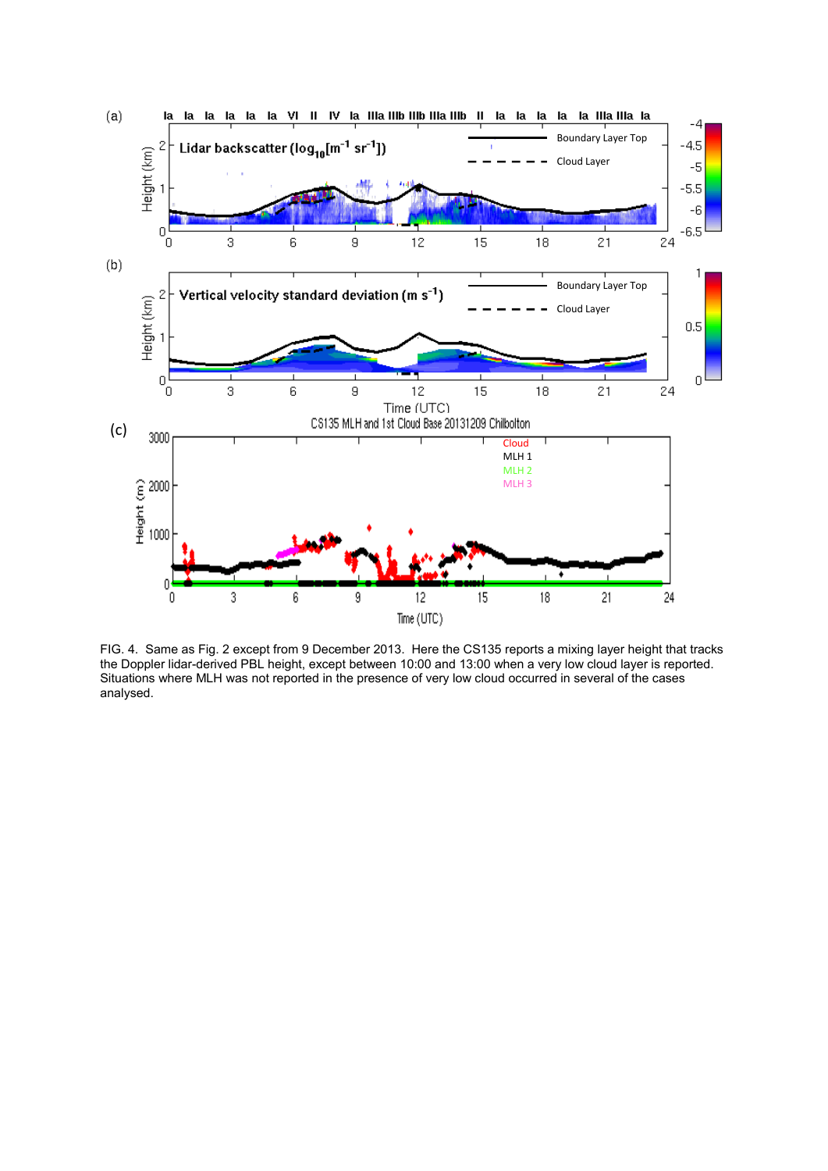

FIG. 4. Same as Fig. 2 except from 9 December 2013. Here the CS135 reports a mixing layer height that tracks the Doppler lidar-derived PBL height, except between 10:00 and 13:00 when a very low cloud layer is reported. Situations where MLH was not reported in the presence of very low cloud occurred in several of the cases analysed.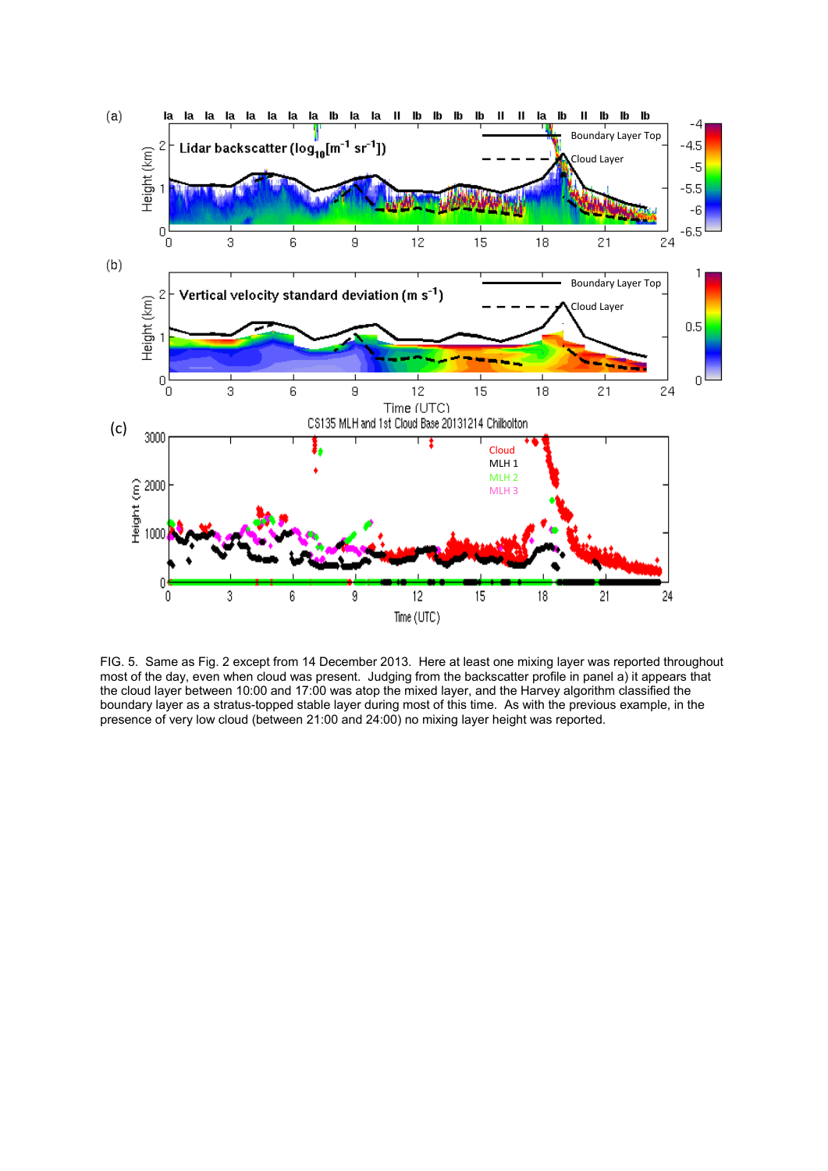

FIG. 5. Same as Fig. 2 except from 14 December 2013. Here at least one mixing layer was reported throughout most of the day, even when cloud was present. Judging from the backscatter profile in panel a) it appears that the cloud layer between 10:00 and 17:00 was atop the mixed layer, and the Harvey algorithm classified the boundary layer as a stratus-topped stable layer during most of this time. As with the previous example, in the presence of very low cloud (between 21:00 and 24:00) no mixing layer height was reported.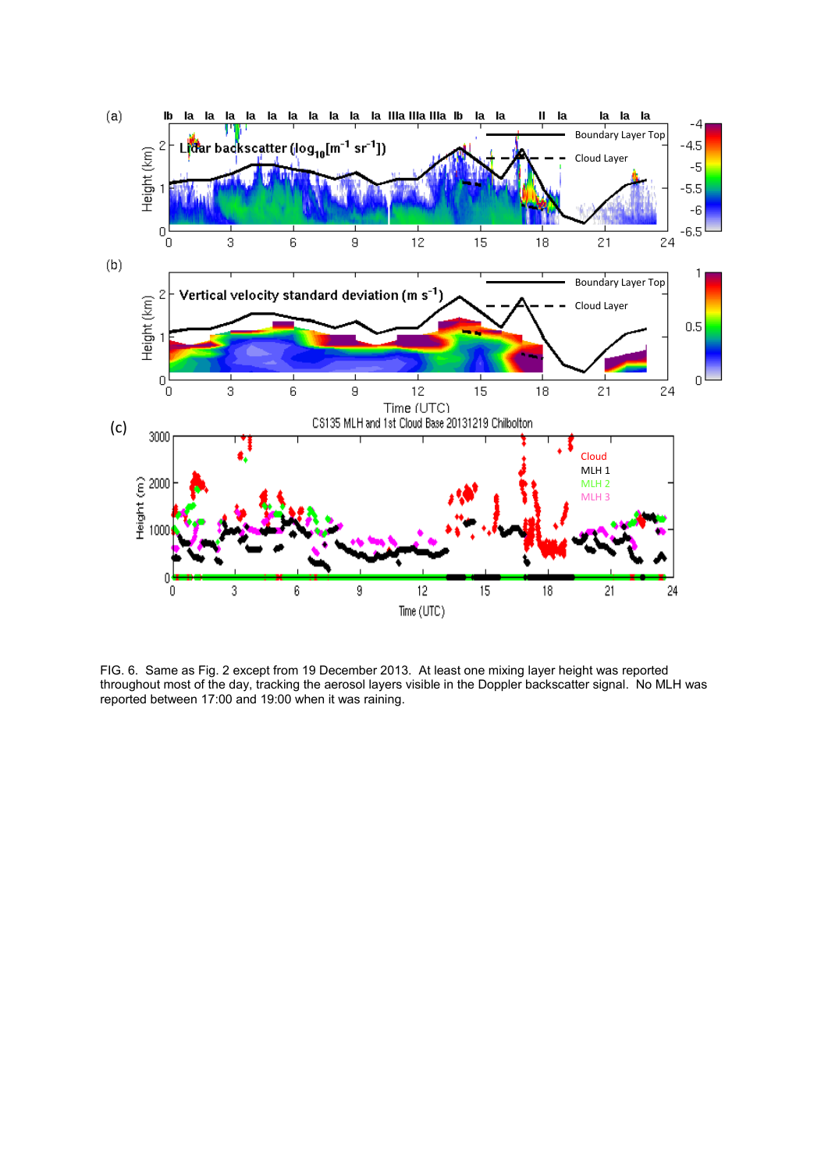

FIG. 6. Same as Fig. 2 except from 19 December 2013. At least one mixing layer height was reported throughout most of the day, tracking the aerosol layers visible in the Doppler backscatter signal. No MLH was reported between 17:00 and 19:00 when it was raining.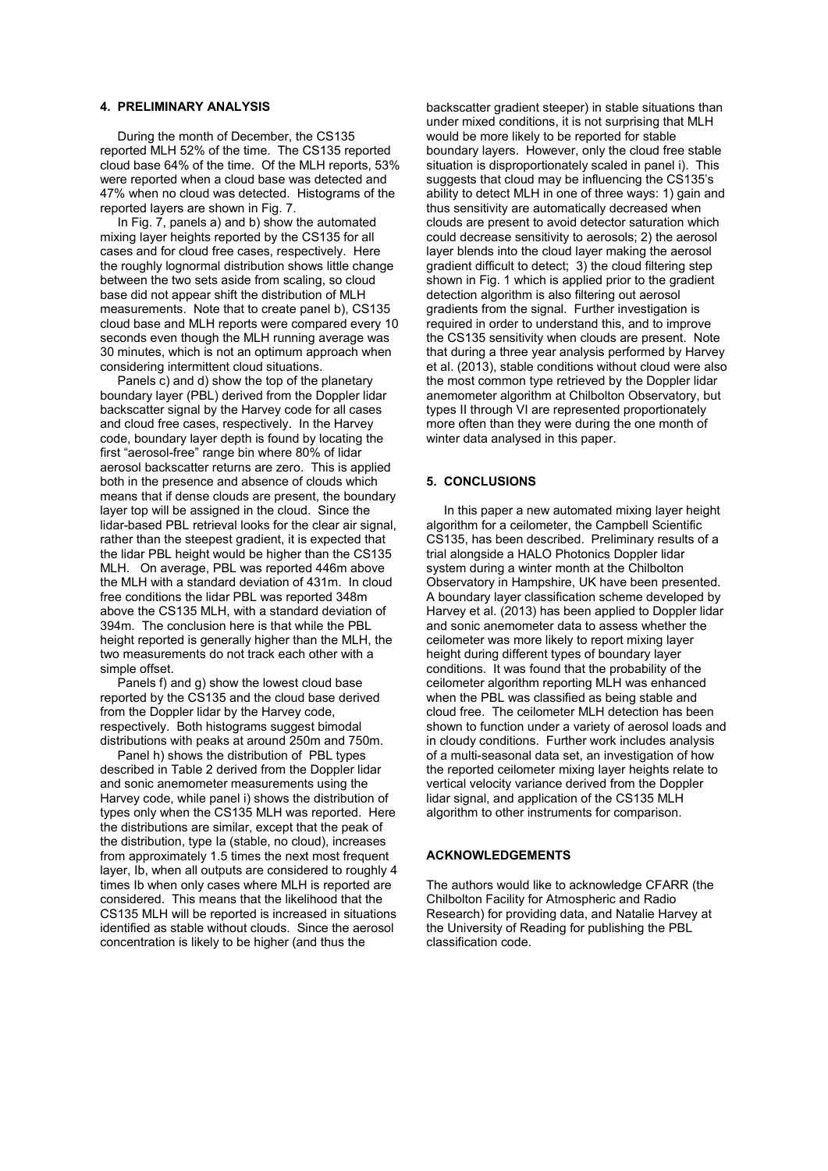## **4. PRELIMINARY ANALYSIS**

 During the month of December, the CS135 reported MLH 52% of the time. The CS135 reported cloud base 64% of the time. Of the MLH reports, 53% were reported when a cloud base was detected and 47% when no cloud was detected. Histograms of the reported layers are shown in Fig. 7.

 In Fig. 7, panels a) and b) show the automated mixing layer heights reported by the CS135 for all cases and for cloud free cases, respectively. Here the roughly lognormal distribution shows little change between the two sets aside from scaling, so cloud base did not appear shift the distribution of MLH measurements. Note that to create panel b), CS135 cloud base and MLH reports were compared every 10 seconds even though the MLH running average was 30 minutes, which is not an optimum approach when considering intermittent cloud situations.

 Panels c) and d) show the top of the planetary boundary layer (PBL) derived from the Doppler lidar backscatter signal by the Harvey code for all cases and cloud free cases, respectively. In the Harvey code, boundary layer depth is found by locating the first "aerosol-free" range bin where 80% of lidar aerosol backscatter returns are zero. This is applied both in the presence and absence of clouds which means that if dense clouds are present, the boundary layer top will be assigned in the cloud. Since the lidar-based PBL retrieval looks for the clear air signal, rather than the steepest gradient, it is expected that the lidar PBL height would be higher than the CS135 MLH. On average, PBL was reported 446m above the MLH with a standard deviation of 431m. In cloud free conditions the lidar PBL was reported 348m above the CS135 MLH, with a standard deviation of 394m. The conclusion here is that while the PBL height reported is generally higher than the MLH, the two measurements do not track each other with a simple offset.

 Panels f) and g) show the lowest cloud base reported by the CS135 and the cloud base derived from the Doppler lidar by the Harvey code, respectively. Both histograms suggest bimodal distributions with peaks at around 250m and 750m.

 Panel h) shows the distribution of PBL types described in Table 2 derived from the Doppler lidar and sonic anemometer measurements using the Harvey code, while panel i) shows the distribution of types only when the CS135 MLH was reported. Here the distributions are similar, except that the peak of the distribution, type Ia (stable, no cloud), increases from approximately 1.5 times the next most frequent layer, Ib, when all outputs are considered to roughly 4 times Ib when only cases where MLH is reported are considered. This means that the likelihood that the CS135 MLH will be reported is increased in situations identified as stable without clouds. Since the aerosol concentration is likely to be higher (and thus the

backscatter gradient steeper) in stable situations than under mixed conditions, it is not surprising that MLH would be more likely to be reported for stable boundary layers. However, only the cloud free stable situation is disproportionately scaled in panel i). This suggests that cloud may be influencing the CS135's ability to detect MLH in one of three ways: 1) gain and thus sensitivity are automatically decreased when clouds are present to avoid detector saturation which could decrease sensitivity to aerosols; 2) the aerosol layer blends into the cloud layer making the aerosol gradient difficult to detect; 3) the cloud filtering step shown in Fig. 1 which is applied prior to the gradient detection algorithm is also filtering out aerosol gradients from the signal. Further investigation is required in order to understand this, and to improve the CS135 sensitivity when clouds are present. Note that during a three year analysis performed by Harvey et al. (2013), stable conditions without cloud were also the most common type retrieved by the Doppler lidar anemometer algorithm at Chilbolton Observatory, but types II through VI are represented proportionately more often than they were during the one month of winter data analysed in this paper.

## **5. CONCLUSIONS**

 In this paper a new automated mixing layer height algorithm for a ceilometer, the Campbell Scientific CS135, has been described. Preliminary results of a trial alongside a HALO Photonics Doppler lidar system during a winter month at the Chilbolton Observatory in Hampshire, UK have been presented. A boundary layer classification scheme developed by Harvey et al. (2013) has been applied to Doppler lidar and sonic anemometer data to assess whether the ceilometer was more likely to report mixing layer height during different types of boundary layer conditions. It was found that the probability of the ceilometer algorithm reporting MLH was enhanced when the PBL was classified as being stable and cloud free. The ceilometer MLH detection has been shown to function under a variety of aerosol loads and in cloudy conditions. Further work includes analysis of a multi-seasonal data set, an investigation of how the reported ceilometer mixing layer heights relate to vertical velocity variance derived from the Doppler lidar signal, and application of the CS135 MLH algorithm to other instruments for comparison.

#### **ACKNOWLEDGEMENTS**

The authors would like to acknowledge CFARR (the Chilbolton Facility for Atmospheric and Radio Research) for providing data, and Natalie Harvey at the University of Reading for publishing the PBL classification code.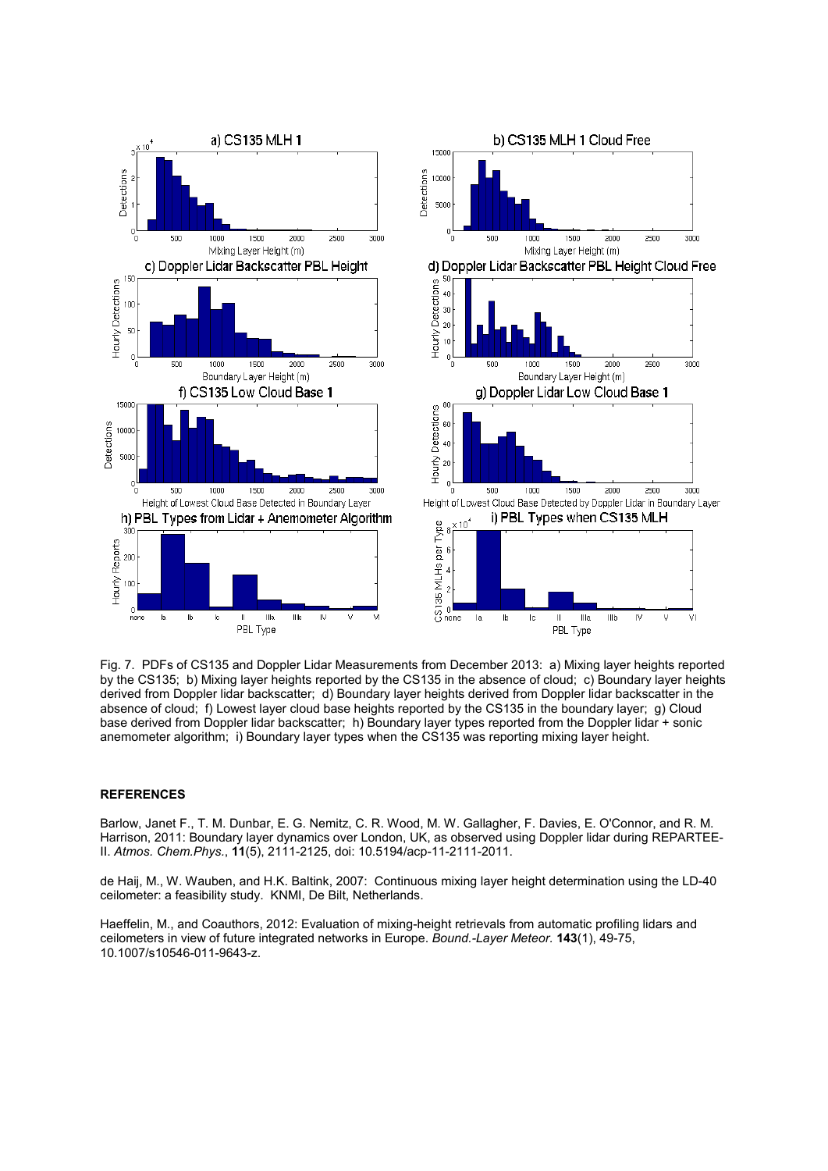

Fig. 7. PDFs of CS135 and Doppler Lidar Measurements from December 2013: a) Mixing layer heights reported by the CS135; b) Mixing layer heights reported by the CS135 in the absence of cloud; c) Boundary layer heights derived from Doppler lidar backscatter; d) Boundary layer heights derived from Doppler lidar backscatter in the absence of cloud; f) Lowest layer cloud base heights reported by the CS135 in the boundary layer; g) Cloud base derived from Doppler lidar backscatter; h) Boundary layer types reported from the Doppler lidar + sonic anemometer algorithm; i) Boundary layer types when the CS135 was reporting mixing layer height.

#### **REFERENCES**

Barlow, Janet F., T. M. Dunbar, E. G. Nemitz, C. R. Wood, M. W. Gallagher, F. Davies, E. O'Connor, and R. M. Harrison, 2011: Boundary layer dynamics over London, UK, as observed using Doppler lidar during REPARTEE-II. *Atmos. Chem.Phys.*, **11**(5), 2111-2125, doi: 10.5194/acp-11-2111-2011.

de Haij, M., W. Wauben, and H.K. Baltink, 2007: Continuous mixing layer height determination using the LD-40 ceilometer: a feasibility study. KNMI, De Bilt, Netherlands.

Haeffelin, M., and Coauthors, 2012: Evaluation of mixing-height retrievals from automatic profiling lidars and ceilometers in view of future integrated networks in Europe. *Bound.-Layer Meteor.* **143**(1), 49-75, 10.1007/s10546-011-9643-z.